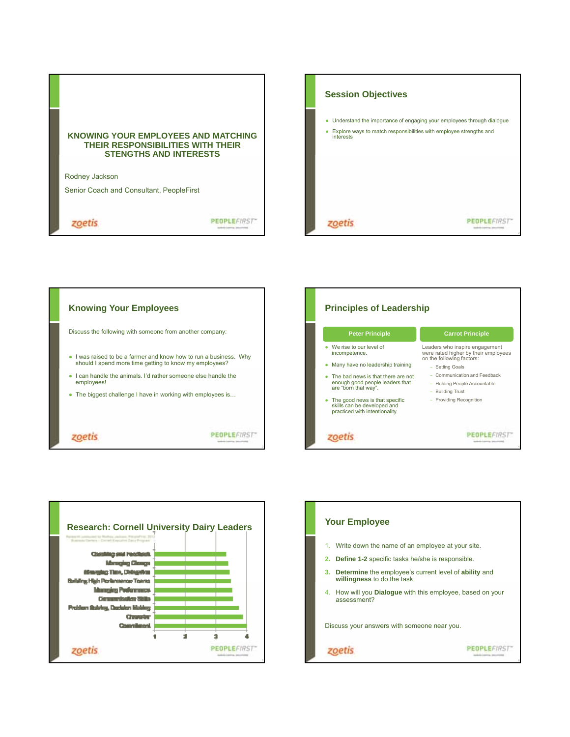

zoetis

**PEOPLEFIRST** 

| <b>Session Objectives</b>                                                                                                                                     |
|---------------------------------------------------------------------------------------------------------------------------------------------------------------|
| Understand the importance of engaging your employees through dialogue<br>۰<br>Explore ways to match responsibilities with employee strengths and<br>interests |
|                                                                                                                                                               |







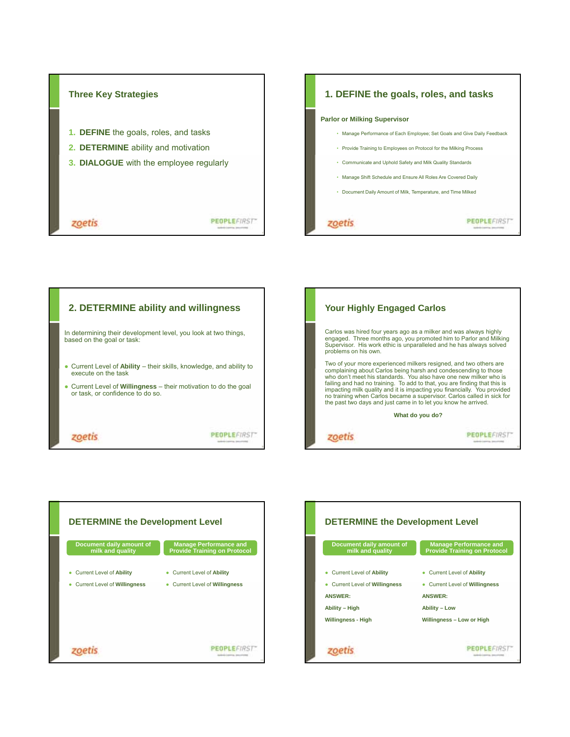

## **1. DEFINE the goals, roles, and tasks**

## **Parlor or Milking Supervisor**

- Manage Performance of Each Employee; Set Goals and Give Daily Feedback
- Provide Training to Employees on Protocol for the Milking Process
- Communicate and Uphold Safety and Milk Quality Standards
- Manage Shift Schedule and Ensure All Roles Are Covered Daily
- Document Daily Amount of Milk, Temperature, and Time Milked

zoetis

**PEOPLEFIRST** 







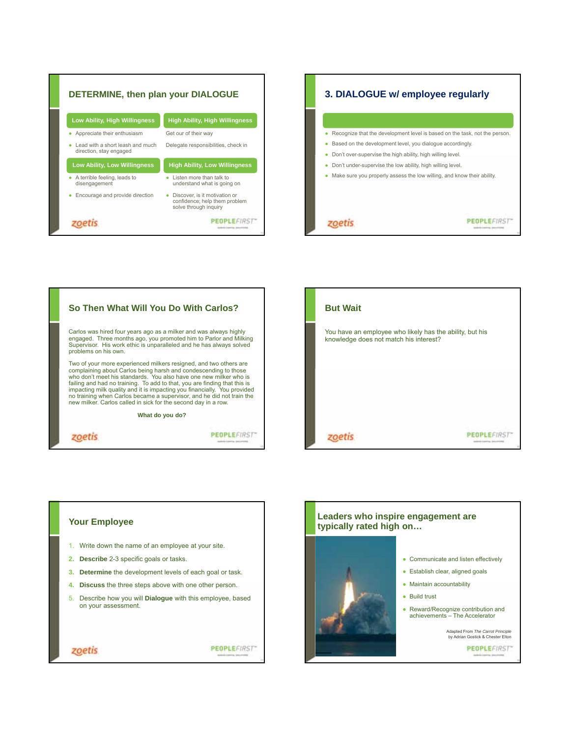







## **Your Employee** 1. Write down the name of an employee at your site. **2. Describe** 2-3 specific goals or tasks. **3. Determine** the development levels of each goal or task. **4. Discuss** the three steps above with one other person. 5. Describe how you will **Dialogue** with this employee, based on your assessment. PEOPLEFIRST zoetis